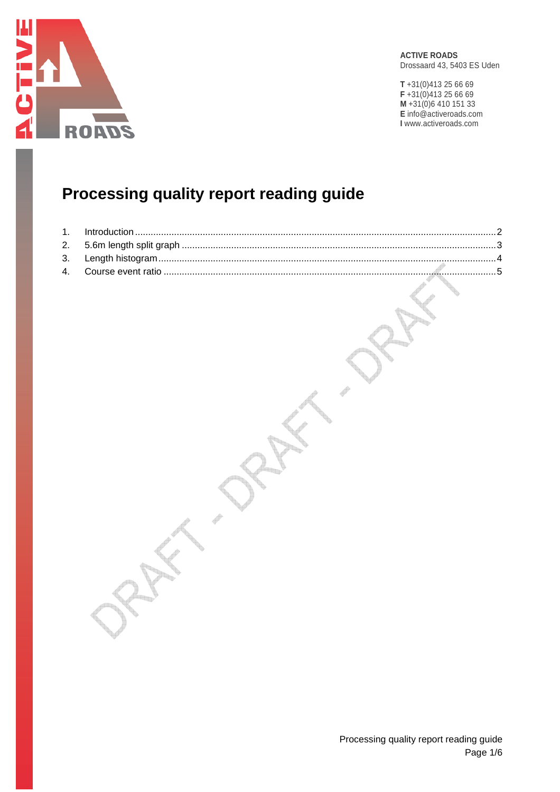

**ACTIVE ROADS** Drossaard 43, 5403 ES Uden

**T** +31(0)413 25 66 69 **F** +31(0)413 25 66 69 **M** +31(0)6 410 151 33 **E** info@activeroads.com **I** www.activeroads.com

# **Processing quality report reading guide**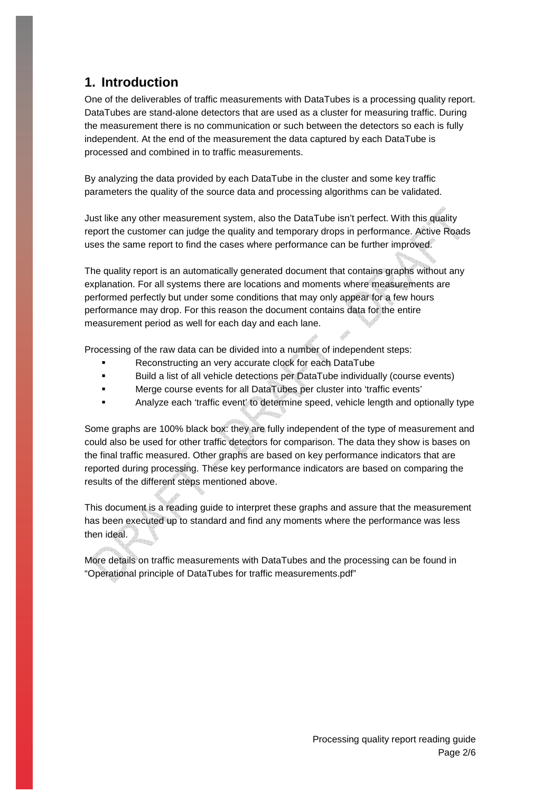## **1. Introduction**

One of the deliverables of traffic measurements with DataTubes is a processing quality report. DataTubes are stand-alone detectors that are used as a cluster for measuring traffic. During the measurement there is no communication or such between the detectors so each is fully independent. At the end of the measurement the data captured by each DataTube is processed and combined in to traffic measurements.

By analyzing the data provided by each DataTube in the cluster and some key traffic parameters the quality of the source data and processing algorithms can be validated.

Just like any other measurement system, also the DataTube isn't perfect. With this quality report the customer can judge the quality and temporary drops in performance. Active Roads uses the same report to find the cases where performance can be further improved.

The quality report is an automatically generated document that contains graphs without any explanation. For all systems there are locations and moments where measurements are performed perfectly but under some conditions that may only appear for a few hours performance may drop. For this reason the document contains data for the entire measurement period as well for each day and each lane.

Processing of the raw data can be divided into a number of independent steps:

- Reconstructing an very accurate clock for each DataTube
- Build a list of all vehicle detections per DataTube individually (course events)
- Merge course events for all DataTubes per cluster into 'traffic events'
- Analyze each 'traffic event' to determine speed, vehicle length and optionally type

Some graphs are 100% black box: they are fully independent of the type of measurement and could also be used for other traffic detectors for comparison. The data they show is bases on the final traffic measured. Other graphs are based on key performance indicators that are reported during processing. These key performance indicators are based on comparing the results of the different steps mentioned above.

This document is a reading guide to interpret these graphs and assure that the measurement has been executed up to standard and find any moments where the performance was less then ideal.

More details on traffic measurements with DataTubes and the processing can be found in "Operational principle of DataTubes for traffic measurements.pdf"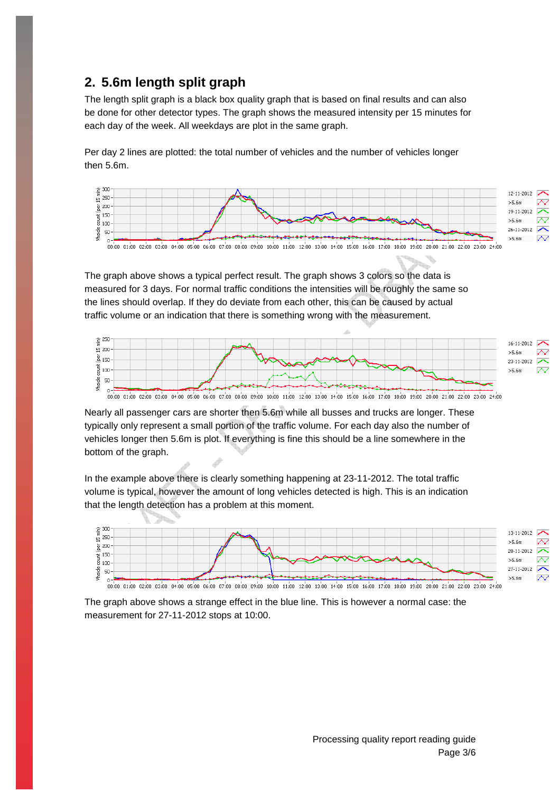## **2. 5.6m length split graph**

The length split graph is a black box quality graph that is based on final results and can also be done for other detector types. The graph shows the measured intensity per 15 minutes for each day of the week. All weekdays are plot in the same graph.

Per day 2 lines are plotted: the total number of vehicles and the number of vehicles longer then 5.6m.



The graph above shows a typical perfect result. The graph shows 3 colors so the data is measured for 3 days. For normal traffic conditions the intensities will be roughly the same so the lines should overlap. If they do deviate from each other, this can be caused by actual traffic volume or an indication that there is something wrong with the measurement.



00:00 02:00 02:00 03:00 04:00 05:00 06:00 07:00 06:00 10:00 11:00 12:00 13:00 14:00 15:00 16:00 17:00 18:00 19:00 21:00 21:00 23:00 24:00 24:00 24:00 24:00 25:00 25:00 25:00 25:00 25:00 25:00 25:00 25:00 25:00 25:00 25:00 2

Nearly all passenger cars are shorter then 5.6m while all busses and trucks are longer. These typically only represent a small portion of the traffic volume. For each day also the number of vehicles longer then 5.6m is plot. If everything is fine this should be a line somewhere in the bottom of the graph.

In the example above there is clearly something happening at 23-11-2012. The total traffic volume is typical, however the amount of long vehicles detected is high. This is an indication that the length detection has a problem at this moment.



The graph above shows a strange effect in the blue line. This is however a normal case: the measurement for 27-11-2012 stops at 10:00.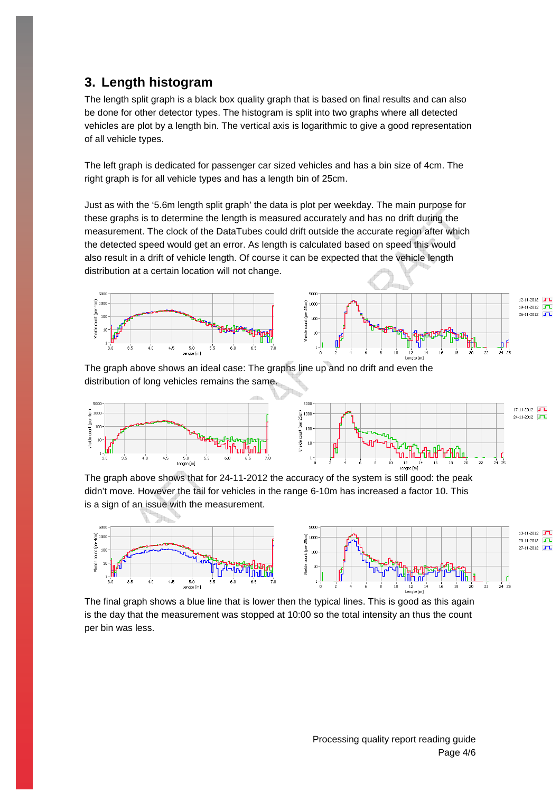#### **3. Length histogram**

The length split graph is a black box quality graph that is based on final results and can also be done for other detector types. The histogram is split into two graphs where all detected vehicles are plot by a length bin. The vertical axis is logarithmic to give a good representation of all vehicle types.

The left graph is dedicated for passenger car sized vehicles and has a bin size of 4cm. The right graph is for all vehicle types and has a length bin of 25cm.

Just as with the '5.6m length split graph' the data is plot per weekday. The main purpose for these graphs is to determine the length is measured accurately and has no drift during the measurement. The clock of the DataTubes could drift outside the accurate region after which the detected speed would get an error. As length is calculated based on speed this would also result in a drift of vehicle length. Of course it can be expected that the vehicle length distribution at a certain location will not change.



The graph above shows an ideal case: The graphs line up and no drift and even the distribution of long vehicles remains the same.



The graph above shows that for 24-11-2012 the accuracy of the system is still good: the peak didn't move. However the tail for vehicles in the range 6-10m has increased a factor 10. This is a sign of an issue with the measurement.



The final graph shows a blue line that is lower then the typical lines. This is good as this again is the day that the measurement was stopped at 10:00 so the total intensity an thus the count per bin was less.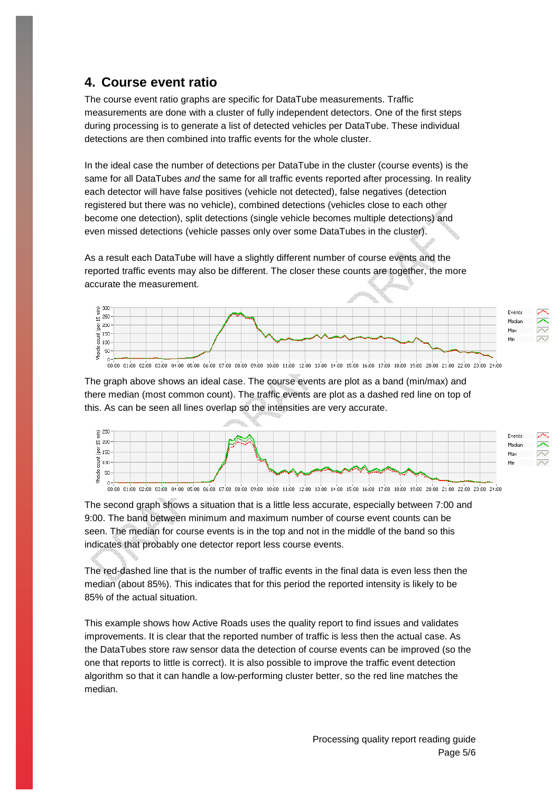#### **4. Course event ratio**

The course event ratio graphs are specific for DataTube measurements. Traffic measurements are done with a cluster of fully independent detectors. One of the first steps during processing is to generate a list of detected vehicles per DataTube. These individual detections are then combined into traffic events for the whole cluster.

In the ideal case the number of detections per DataTube in the cluster (course events) is the same for all DataTubes and the same for all traffic events reported after processing. In reality each detector will have false positives (vehicle not detected), false negatives (detection registered but there was no vehicle), combined detections (vehicles close to each other become one detection), split detections (single vehicle becomes multiple detections) and even missed detections (vehicle passes only over some DataTubes in the cluster).

As a result each DataTube will have a slightly different number of course events and the reported traffic events may also be different. The closer these counts are together, the more accurate the measurement.



The graph above shows an ideal case. The course events are plot as a band (min/max) and there median (most common count). The traffic events are plot as a dashed red line on top of this. As can be seen all lines overlap so the intensities are very accurate.



The second graph shows a situation that is a little less accurate, especially between 7:00 and 9:00. The band between minimum and maximum number of course event counts can be seen. The median for course events is in the top and not in the middle of the band so this indicates that probably one detector report less course events.

The red-dashed line that is the number of traffic events in the final data is even less then the median (about 85%). This indicates that for this period the reported intensity is likely to be 85% of the actual situation.

This example shows how Active Roads uses the quality report to find issues and validates improvements. It is clear that the reported number of traffic is less then the actual case. As the DataTubes store raw sensor data the detection of course events can be improved (so the one that reports to little is correct). It is also possible to improve the traffic event detection algorithm so that it can handle a low-performing cluster better, so the red line matches the median.